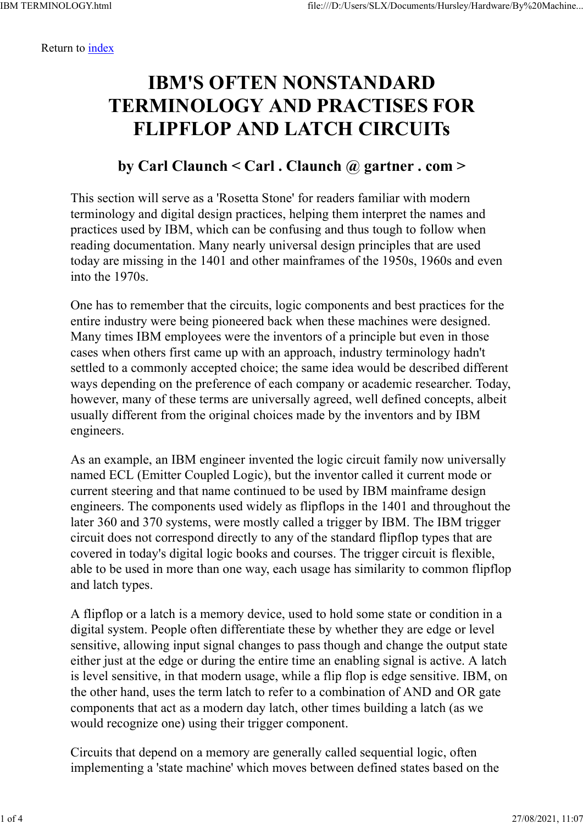Return to index

## IBM'S OFTEN NONSTANDARD TERMINOLOGY AND PRACTISES FOR FLIPFLOP AND LATCH CIRCUITs

## by Carl Claunch < Carl . Claunch @ gartner . com >

This section will serve as a 'Rosetta Stone' for readers familiar with modern terminology and digital design practices, helping them interpret the names and practices used by IBM, which can be confusing and thus tough to follow when reading documentation. Many nearly universal design principles that are used today are missing in the 1401 and other mainframes of the 1950s, 1960s and even into the 1970s.

One has to remember that the circuits, logic components and best practices for the entire industry were being pioneered back when these machines were designed. Many times IBM employees were the inventors of a principle but even in those cases when others first came up with an approach, industry terminology hadn't settled to a commonly accepted choice; the same idea would be described different ways depending on the preference of each company or academic researcher. Today, however, many of these terms are universally agreed, well defined concepts, albeit usually different from the original choices made by the inventors and by IBM engineers.

As an example, an IBM engineer invented the logic circuit family now universally named ECL (Emitter Coupled Logic), but the inventor called it current mode or current steering and that name continued to be used by IBM mainframe design engineers. The components used widely as flipflops in the 1401 and throughout the later 360 and 370 systems, were mostly called a trigger by IBM. The IBM trigger circuit does not correspond directly to any of the standard flipflop types that are covered in today's digital logic books and courses. The trigger circuit is flexible, able to be used in more than one way, each usage has similarity to common flipflop and latch types.

A flipflop or a latch is a memory device, used to hold some state or condition in a digital system. People often differentiate these by whether they are edge or level sensitive, allowing input signal changes to pass though and change the output state either just at the edge or during the entire time an enabling signal is active. A latch is level sensitive, in that modern usage, while a flip flop is edge sensitive. IBM, on the other hand, uses the term latch to refer to a combination of AND and OR gate components that act as a modern day latch, other times building a latch (as we would recognize one) using their trigger component.

Circuits that depend on a memory are generally called sequential logic, often implementing a 'state machine' which moves between defined states based on the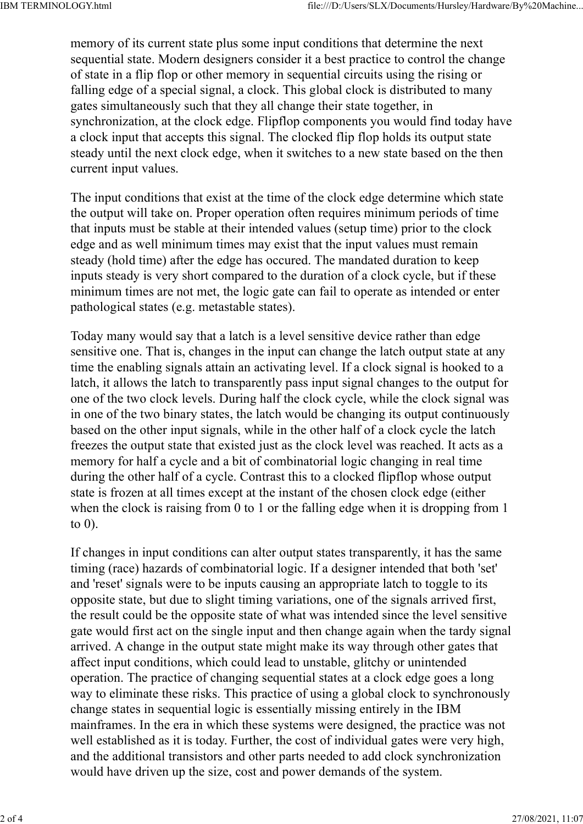memory of its current state plus some input conditions that determine the next sequential state. Modern designers consider it a best practice to control the change of state in a flip flop or other memory in sequential circuits using the rising or falling edge of a special signal, a clock. This global clock is distributed to many gates simultaneously such that they all change their state together, in synchronization, at the clock edge. Flipflop components you would find today have a clock input that accepts this signal. The clocked flip flop holds its output state steady until the next clock edge, when it switches to a new state based on the then current input values.

The input conditions that exist at the time of the clock edge determine which state the output will take on. Proper operation often requires minimum periods of time that inputs must be stable at their intended values (setup time) prior to the clock edge and as well minimum times may exist that the input values must remain steady (hold time) after the edge has occured. The mandated duration to keep inputs steady is very short compared to the duration of a clock cycle, but if these minimum times are not met, the logic gate can fail to operate as intended or enter pathological states (e.g. metastable states).

Today many would say that a latch is a level sensitive device rather than edge sensitive one. That is, changes in the input can change the latch output state at any time the enabling signals attain an activating level. If a clock signal is hooked to a latch, it allows the latch to transparently pass input signal changes to the output for one of the two clock levels. During half the clock cycle, while the clock signal was in one of the two binary states, the latch would be changing its output continuously based on the other input signals, while in the other half of a clock cycle the latch freezes the output state that existed just as the clock level was reached. It acts as a memory for half a cycle and a bit of combinatorial logic changing in real time during the other half of a cycle. Contrast this to a clocked flipflop whose output state is frozen at all times except at the instant of the chosen clock edge (either when the clock is raising from 0 to 1 or the falling edge when it is dropping from 1 to 0).

If changes in input conditions can alter output states transparently, it has the same timing (race) hazards of combinatorial logic. If a designer intended that both 'set' and 'reset' signals were to be inputs causing an appropriate latch to toggle to its opposite state, but due to slight timing variations, one of the signals arrived first, the result could be the opposite state of what was intended since the level sensitive gate would first act on the single input and then change again when the tardy signal arrived. A change in the output state might make its way through other gates that affect input conditions, which could lead to unstable, glitchy or unintended operation. The practice of changing sequential states at a clock edge goes a long way to eliminate these risks. This practice of using a global clock to synchronously change states in sequential logic is essentially missing entirely in the IBM mainframes. In the era in which these systems were designed, the practice was not well established as it is today. Further, the cost of individual gates were very high, and the additional transistors and other parts needed to add clock synchronization would have driven up the size, cost and power demands of the system.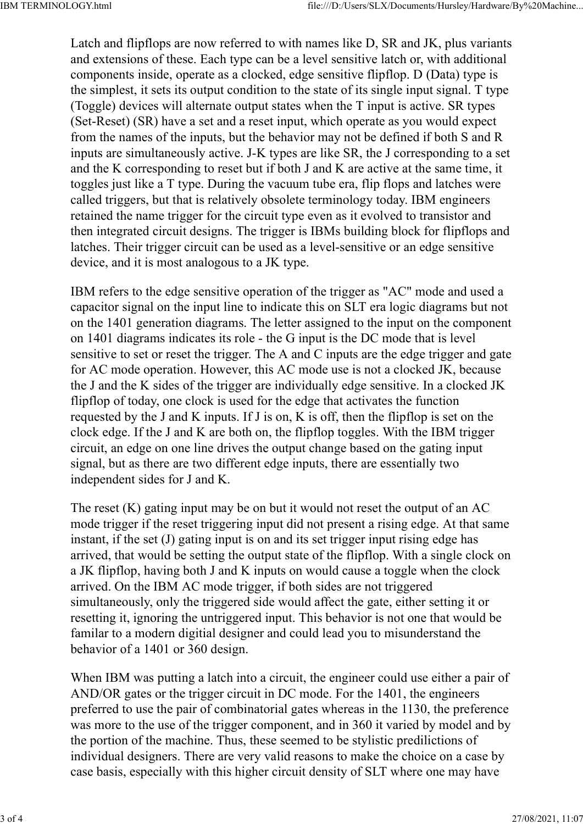Latch and flipflops are now referred to with names like D, SR and JK, plus variants and extensions of these. Each type can be a level sensitive latch or, with additional components inside, operate as a clocked, edge sensitive flipflop. D (Data) type is the simplest, it sets its output condition to the state of its single input signal. T type (Toggle) devices will alternate output states when the T input is active. SR types (Set-Reset) (SR) have a set and a reset input, which operate as you would expect from the names of the inputs, but the behavior may not be defined if both S and R inputs are simultaneously active. J-K types are like SR, the J corresponding to a set and the K corresponding to reset but if both J and K are active at the same time, it toggles just like a T type. During the vacuum tube era, flip flops and latches were called triggers, but that is relatively obsolete terminology today. IBM engineers retained the name trigger for the circuit type even as it evolved to transistor and then integrated circuit designs. The trigger is IBMs building block for flipflops and latches. Their trigger circuit can be used as a level-sensitive or an edge sensitive device, and it is most analogous to a JK type.

IBM refers to the edge sensitive operation of the trigger as "AC" mode and used a capacitor signal on the input line to indicate this on SLT era logic diagrams but not on the 1401 generation diagrams. The letter assigned to the input on the component on 1401 diagrams indicates its role - the G input is the DC mode that is level sensitive to set or reset the trigger. The A and C inputs are the edge trigger and gate for AC mode operation. However, this AC mode use is not a clocked JK, because the J and the K sides of the trigger are individually edge sensitive. In a clocked JK flipflop of today, one clock is used for the edge that activates the function requested by the J and K inputs. If J is on, K is off, then the flipflop is set on the clock edge. If the J and K are both on, the flipflop toggles. With the IBM trigger circuit, an edge on one line drives the output change based on the gating input signal, but as there are two different edge inputs, there are essentially two independent sides for J and K.

The reset  $(K)$  gating input may be on but it would not reset the output of an AC mode trigger if the reset triggering input did not present a rising edge. At that same instant, if the set (J) gating input is on and its set trigger input rising edge has arrived, that would be setting the output state of the flipflop. With a single clock on a JK flipflop, having both J and K inputs on would cause a toggle when the clock arrived. On the IBM AC mode trigger, if both sides are not triggered simultaneously, only the triggered side would affect the gate, either setting it or resetting it, ignoring the untriggered input. This behavior is not one that would be familar to a modern digitial designer and could lead you to misunderstand the behavior of a 1401 or 360 design.

When IBM was putting a latch into a circuit, the engineer could use either a pair of AND/OR gates or the trigger circuit in DC mode. For the 1401, the engineers preferred to use the pair of combinatorial gates whereas in the 1130, the preference was more to the use of the trigger component, and in 360 it varied by model and by the portion of the machine. Thus, these seemed to be stylistic predilictions of individual designers. There are very valid reasons to make the choice on a case by case basis, especially with this higher circuit density of SLT where one may have